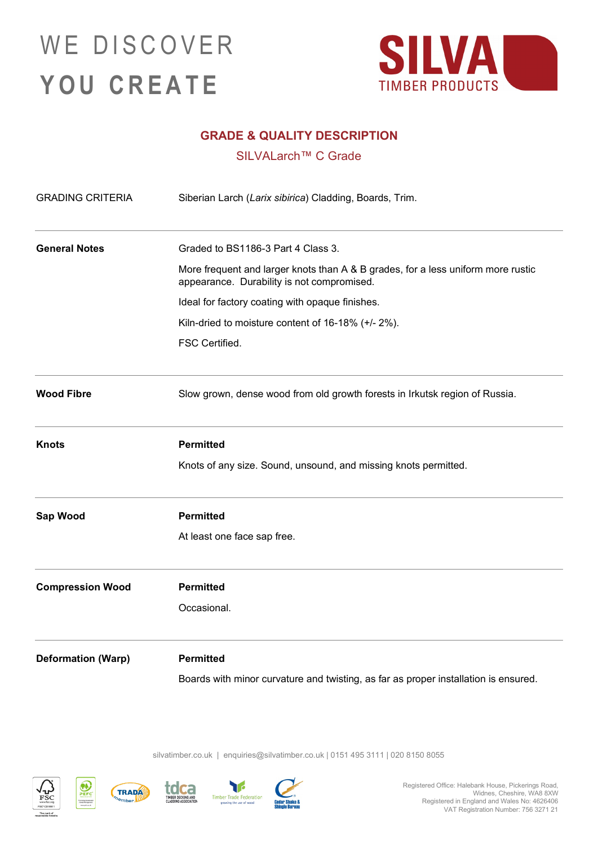## WE DISCOVER **YOU CREATE**



## **GRADE & QUALITY DESCRIPTION**

SILVALarch™ C Grade

| <b>GRADING CRITERIA</b>   | Siberian Larch (Larix sibirica) Cladding, Boards, Trim.                                                                        |
|---------------------------|--------------------------------------------------------------------------------------------------------------------------------|
| <b>General Notes</b>      | Graded to BS1186-3 Part 4 Class 3.                                                                                             |
|                           | More frequent and larger knots than A & B grades, for a less uniform more rustic<br>appearance. Durability is not compromised. |
|                           | Ideal for factory coating with opaque finishes.                                                                                |
|                           | Kiln-dried to moisture content of 16-18% (+/- 2%).                                                                             |
|                           | FSC Certified.                                                                                                                 |
| <b>Wood Fibre</b>         | Slow grown, dense wood from old growth forests in Irkutsk region of Russia.                                                    |
| <b>Knots</b>              | <b>Permitted</b>                                                                                                               |
|                           | Knots of any size. Sound, unsound, and missing knots permitted.                                                                |
| Sap Wood                  | <b>Permitted</b>                                                                                                               |
|                           | At least one face sap free.                                                                                                    |
| <b>Compression Wood</b>   | <b>Permitted</b>                                                                                                               |
|                           | Occasional.                                                                                                                    |
| <b>Deformation (Warp)</b> | <b>Permitted</b>                                                                                                               |
|                           | Boards with minor curvature and twisting, as far as proper installation is ensured.                                            |

silvatimber.co.uk | [enquiries@silvatimber.co.uk](mailto:enquiries@silvatimber.co.uk) | 0151 495 3111 | 020 8150 8055





 $\Omega$